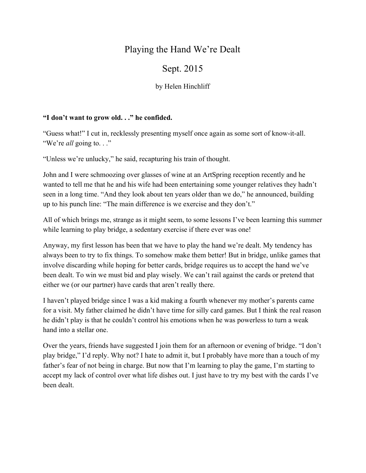## Playing the Hand We're Dealt

## Sept. 2015

by Helen Hinchliff

## **"I don't want to grow old. . ." he confided.**

"Guess what!" I cut in, recklessly presenting myself once again as some sort of know-it-all. "We're *all* going to. . ."

"Unless we're unlucky," he said, recapturing his train of thought.

John and I were schmoozing over glasses of wine at an ArtSpring reception recently and he wanted to tell me that he and his wife had been entertaining some younger relatives they hadn't seen in a long time. "And they look about ten years older than we do," he announced, building up to his punch line: "The main difference is we exercise and they don't."

All of which brings me, strange as it might seem, to some lessons I've been learning this summer while learning to play bridge, a sedentary exercise if there ever was one!

Anyway, my first lesson has been that we have to play the hand we're dealt. My tendency has always been to try to fix things. To somehow make them better! But in bridge, unlike games that involve discarding while hoping for better cards, bridge requires us to accept the hand we've been dealt. To win we must bid and play wisely. We can't rail against the cards or pretend that either we (or our partner) have cards that aren't really there.

I haven't played bridge since I was a kid making a fourth whenever my mother's parents came for a visit. My father claimed he didn't have time for silly card games. But I think the real reason he didn't play is that he couldn't control his emotions when he was powerless to turn a weak hand into a stellar one.

Over the years, friends have suggested I join them for an afternoon or evening of bridge. "I don't play bridge," I'd reply. Why not? I hate to admit it, but I probably have more than a touch of my father's fear of not being in charge. But now that I'm learning to play the game, I'm starting to accept my lack of control over what life dishes out. I just have to try my best with the cards I've been dealt.